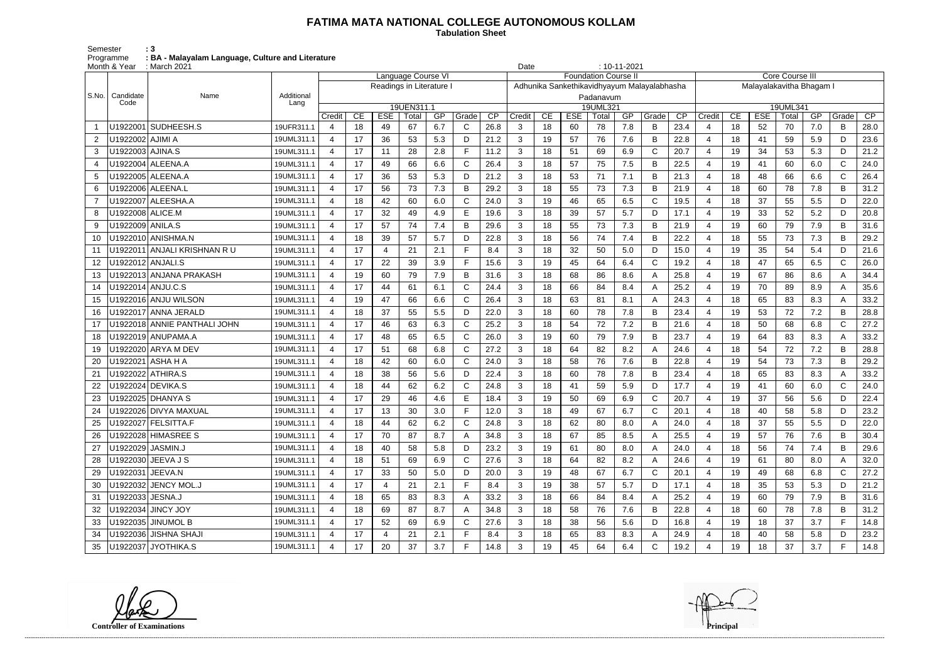## **FATIMA MATA NATIONAL COLLEGE AUTONOMOUS KOLLAM**

 **Tabulation Sheet** 

Semester : 3 Programme : BA - Malayalam Language, Culture and Literature

| $: 10 - 11 - 2021$<br>Month & Year<br>: March 2021<br>Date<br>Language Course VI<br><b>Core Course III</b><br><b>Foundation Course II</b> |                   |                                |            |                       |    |                          |            |     |       |                 |        |    |            |                                             |     |              |                 |                       |    |                          |       |     |              |      |
|-------------------------------------------------------------------------------------------------------------------------------------------|-------------------|--------------------------------|------------|-----------------------|----|--------------------------|------------|-----|-------|-----------------|--------|----|------------|---------------------------------------------|-----|--------------|-----------------|-----------------------|----|--------------------------|-------|-----|--------------|------|
|                                                                                                                                           |                   |                                |            |                       |    |                          |            |     |       |                 |        |    |            |                                             |     |              |                 |                       |    |                          |       |     |              |      |
| S.No.                                                                                                                                     | Candidate         | Name                           | Additional |                       |    | Readings in Literature I |            |     |       |                 |        |    |            | Adhunika Sankethikavidhyayum Malayalabhasha |     |              |                 |                       |    | Malayalakavitha Bhagam I |       |     |              |      |
|                                                                                                                                           | Code              |                                | Lang       |                       |    |                          | 19UEN311.1 |     |       |                 |        |    |            | Padanavum<br>19UML321                       |     |              |                 | 19UML341              |    |                          |       |     |              |      |
|                                                                                                                                           |                   |                                |            | Credit                | CE | <b>ESE</b>               | Total      | GP  | Grade | $\overline{CP}$ | Credit | CE | <b>ESE</b> | Total                                       | GP  | Grade        | $\overline{CP}$ | Credit                | CE | <b>ESE</b>               | Total | GP  | Grade        | CP   |
|                                                                                                                                           | U1922001          | SUDHEESH.S                     | 19UFR311.1 | $\overline{4}$        | 18 | 49                       | 67         | 6.7 | C     | 26.8            | 3      | 18 | 60         | 78                                          | 7.8 | B            | 23.4            | 4                     | 18 | 52                       | 70    | 7.0 | B            | 28.0 |
|                                                                                                                                           | U1922002 AJIMI A  |                                | 19UML311.1 | $\overline{4}$        | 17 | 36                       | 53         | 5.3 | D     | 21.2            | 3      | 19 | 57         | 76                                          | 7.6 | B            | 22.8            | $\boldsymbol{4}$      | 18 | 41                       | 59    | 5.9 | D            | 23.6 |
| 3                                                                                                                                         | U1922003 AJINA.S  |                                | 19UML311.1 | 4                     | 17 | 11                       | 28         | 2.8 | F     | 11.2            | 3      | 18 | 51         | 69                                          | 6.9 | C            | 20.7            | 4                     | 19 | 34                       | 53    | 5.3 | D            | 21.2 |
|                                                                                                                                           |                   | U1922004 ALEENA.A              | 19UML311.1 | $\overline{4}$        | 17 | 49                       | 66         | 6.6 | С     | 26.4            | 3      | 18 | 57         | 75                                          | 7.5 | B            | 22.5            | $\overline{4}$        | 19 | 41                       | 60    | 6.0 | $\mathsf{C}$ | 24.0 |
| 5                                                                                                                                         |                   | U1922005   ALEENA.A            | 19UML311.1 | $\overline{4}$        | 17 | 36                       | 53         | 5.3 | D     | 21.2            | 3      | 18 | 53         | 71                                          | 7.1 | B            | 21.3            | 4                     | 18 | 48                       | 66    | 6.6 | $\mathsf{C}$ | 26.4 |
| 6                                                                                                                                         |                   | U1922006   ALEENA.L            | 19UML311.1 | 4                     | 17 | 56                       | 73         | 7.3 | в     | 29.2            | 3      | 18 | 55         | 73                                          | 7.3 | B            | 21.9            | $\boldsymbol{4}$      | 18 | 60                       | 78    | 7.8 | B            | 31.2 |
|                                                                                                                                           |                   | U1922007 ALEESHA.A             | 19UML311.1 | 4                     | 18 | 42                       | 60         | 6.0 | C     | 24.0            | 3      | 19 | 46         | 65                                          | 6.5 | C            | 19.5            | 4                     | 18 | 37                       | 55    | 5.5 | D            | 22.0 |
| 8                                                                                                                                         | U1922008 ALICE.M  |                                | 19UML311.1 | $\overline{4}$        | 17 | 32                       | 49         | 4.9 | E     | 19.6            | 3      | 18 | 39         | 57                                          | 5.7 | D            | 17.1            | $\overline{4}$        | 19 | 33                       | 52    | 5.2 | D            | 20.8 |
| 9                                                                                                                                         | U1922009 ANILA.S  |                                | 19UML311.1 | $\overline{4}$        | 17 | 57                       | 74         | 7.4 | B     | 29.6            | 3      | 18 | 55         | 73                                          | 7.3 | B            | 21.9            | $\overline{4}$        | 19 | 60                       | 79    | 7.9 | B            | 31.6 |
| 10                                                                                                                                        |                   | U1922010 ANISHMA.N             | 19UML311.1 | $\overline{4}$        | 18 | 39                       | 57         | 5.7 | D     | 22.8            | 3      | 18 | 56         | 74                                          | 7.4 | B            | 22.2            | $\overline{4}$        | 18 | 55                       | 73    | 7.3 | B            | 29.2 |
|                                                                                                                                           |                   | U1922011   ANJALI KRISHNAN R U | 19UML311.1 | $\overline{4}$        | 17 | 4                        | 21         | 2.1 |       | 8.4             | 3      | 18 | 32         | 50                                          | 5.0 | D            | 15.0            | $\boldsymbol{4}$      | 19 | 35                       | 54    | 5.4 | D            | 21.6 |
| 12                                                                                                                                        |                   | U1922012   ANJALI.S            | 19UML311.1 | 4                     | 17 | 22                       | 39         | 3.9 | Е     | 15.6            | 3      | 19 | 45         | 64                                          | 6.4 | $\mathsf{C}$ | 19.2            | $\overline{4}$        | 18 | 47                       | 65    | 6.5 | $\mathsf{C}$ | 26.0 |
| 13                                                                                                                                        |                   | U1922013 ANJANA PRAKASH        | 19UML311.1 | $\overline{4}$        | 19 | 60                       | 79         | 7.9 | B     | 31.6            | 3      | 18 | 68         | 86                                          | 8.6 | A            | 25.8            | 4                     | 19 | 67                       | 86    | 8.6 | A            | 34.4 |
| 14                                                                                                                                        |                   | U1922014   ANJU.C.S            | 19UML311.1 | $\overline{4}$        | 17 | 44                       | 61         | 6.1 | C     | 24.4            | 3      | 18 | 66         | 84                                          | 8.4 | A            | 25.2            | $\overline{4}$        | 19 | 70                       | 89    | 8.9 | A            | 35.6 |
| 15                                                                                                                                        |                   | U1922016 ANJU WILSON           | 19UML311.1 | $\overline{4}$        | 19 | 47                       | 66         | 6.6 | C     | 26.4            | 3      | 18 | 63         | 81                                          | 8.1 | A            | 24.3            | $\overline{4}$        | 18 | 65                       | 83    | 8.3 | A            | 33.2 |
| 16                                                                                                                                        |                   | U1922017 ANNA JERALD           | 19UML311.1 | $\overline{a}$        | 18 | 37                       | 55         | 5.5 | D     | 22.0            | 3      | 18 | 60         | 78                                          | 7.8 | B            | 23.4            | $\boldsymbol{\Delta}$ | 19 | 53                       | 72    | 7.2 | B            | 28.8 |
| 17                                                                                                                                        |                   | U1922018 ANNIE PANTHALI JOHN   | 19UML311.1 | $\overline{4}$        | 17 | 46                       | 63         | 6.3 | C     | 25.2            | 3      | 18 | 54         | 72                                          | 7.2 | B            | 21.6            | $\overline{4}$        | 18 | 50                       | 68    | 6.8 | $\mathsf{C}$ | 27.2 |
| 18                                                                                                                                        |                   | U1922019   ANUPAMA.A           | 19UML311.1 | $\overline{4}$        | 17 | 48                       | 65         | 6.5 | C     | 26.0            | 3      | 19 | 60         | 79                                          | 7.9 | B            | 23.7            | 4                     | 19 | 64                       | 83    | 8.3 | A            | 33.2 |
| 19                                                                                                                                        |                   |                                | 19UML311.1 | $\overline{4}$        | 17 | 51                       | 68         | 6.8 | С     | 27.2            | 3      | 18 | 64         | 82                                          | 8.2 | A            | 24.6            | $\overline{4}$        | 18 | 54                       | 72    | 7.2 | B            | 28.8 |
| 20                                                                                                                                        |                   | U1922021   ASHA H A            | 19UML311.1 | $\overline{4}$        | 18 | 42                       | 60         | 6.0 | C     | 24.0            | 3      | 18 | 58         | 76                                          | 7.6 | B            | 22.8            | $\overline{4}$        | 19 | 54                       | 73    | 7.3 | B            | 29.2 |
| 21                                                                                                                                        |                   | U1922022   ATHIRA.S            | 19UML311.1 | $\overline{4}$        | 18 | 38                       | 56         | 5.6 | D     | 22.4            | 3      | 18 | 60         | 78                                          | 7.8 | B            | 23.4            | $\boldsymbol{4}$      | 18 | 65                       | 83    | 8.3 | A            | 33.2 |
| 22                                                                                                                                        |                   | U1922024 DEVIKA.S              | 19UML311.1 | $\overline{4}$        | 18 | 44                       | 62         | 6.2 | C     | 24.8            | 3      | 18 | 41         | 59                                          | 5.9 | D            | 17.7            | $\overline{4}$        | 19 | 41                       | 60    | 6.0 | $\mathsf{C}$ | 24.0 |
| 23                                                                                                                                        |                   | U1922025 DHANYA S              | 19UML311.1 | 4                     | 17 | 29                       | 46         | 4.6 | E     | 18.4            | 3      | 19 | 50         | 69                                          | 6.9 | C            | 20.7            | 4                     | 19 | 37                       | 56    | 5.6 | D            | 22.4 |
| 24                                                                                                                                        |                   | U1922026 DIVYA MAXUAL          | 19UML311.1 | $\boldsymbol{\Delta}$ | 17 | 13                       | 30         | 3.0 |       | 12.0            |        | 18 | 49         | 67                                          | 6.7 | $\mathsf{C}$ | 20.1            | $\overline{4}$        | 18 | 40                       | 58    | 5.8 | D            | 23.2 |
| 25                                                                                                                                        |                   | U1922027 FELSITTA.F            | 19UML311.1 | 4                     | 18 | 44                       | 62         | 6.2 | C     | 24.8            | 3      | 18 | 62         | 80                                          | 8.0 | A            | 24.0            | 4                     | 18 | 37                       | 55    | 5.5 | D            | 22.0 |
| 26                                                                                                                                        |                   | U1922028 HIMASREE S            | 19UML311.1 | 4                     | 17 | 70                       | 87         | 8.7 | A     | 34.8            | 3      | 18 | 67         | 85                                          | 8.5 | A            | 25.5            | 4                     | 19 | 57                       | 76    | 7.6 | B            | 30.4 |
| 27                                                                                                                                        | U1922029 JASMIN.J |                                | 19UML311.1 | $\overline{4}$        | 18 | 40                       | 58         | 5.8 | D     | 23.2            | 3      | 19 | 61         | 80                                          | 8.0 | A            | 24.0            | $\overline{4}$        | 18 | 56                       | 74    | 7.4 | B            | 29.6 |
| 28                                                                                                                                        |                   | U1922030 JEEVA J S             | 19UML311.1 | 4                     | 18 | 51                       | 69         | 6.9 | C     | 27.6            | 3      | 18 | 64         | 82                                          | 8.2 | A            | 24.6            | 4                     | 19 | 61                       | 80    | 8.0 | A            | 32.0 |
| 29                                                                                                                                        | U1922031 JEEVA.N  |                                | 19UML311.1 | $\overline{4}$        | 17 | 33                       | 50         | 5.0 | D     | 20.0            | 3      | 19 | 48         | 67                                          | 6.7 | C            | 20.1            | 4                     | 19 | 49                       | 68    | 6.8 | $\mathsf{C}$ | 27.2 |
| 30                                                                                                                                        |                   | U1922032 JENCY MOL.J           | 19UML311.1 | $\overline{4}$        | 17 | 4                        | 21         | 2.1 | F     | 8.4             | 3      | 19 | 38         | 57                                          | 5.7 | D            | 17.1            | 4                     | 18 | 35                       | 53    | 5.3 | D            | 21.2 |
| 31                                                                                                                                        | U1922033 JESNA.J  |                                | 19UML311.1 | 4                     | 18 | 65                       | 83         | 8.3 | A     | 33.2            | 3      | 18 | 66         | 84                                          | 8.4 | A            | 25.2            | 4                     | 19 | 60                       | 79    | 7.9 | B            | 31.6 |
| 32                                                                                                                                        |                   | U1922034 JINCY JOY             | 19UML311.1 | 4                     | 18 | 69                       | 87         | 8.7 | A     | 34.8            | 3      | 18 | 58         | 76                                          | 7.6 | B            | 22.8            | 4                     | 18 | 60                       | 78    | 7.8 | B            | 31.2 |
| 33                                                                                                                                        |                   | U1922035 JINUMOL B             | 19UML311.1 | 4                     | 17 | 52                       | 69         | 6.9 | C     | 27.6            | 3      | 18 | 38         | 56                                          | 5.6 | D            | 16.8            | 4                     | 19 | 18                       | 37    | 3.7 | F.           | 14.8 |
| 34                                                                                                                                        |                   | U1922036 JISHNA SHAJI          | 19UML311.1 | $\overline{4}$        | 17 | 4                        | 21         | 2.1 |       | 8.4             | 3      | 18 | 65         | 83                                          | 8.3 | A            | 24.9            | 4                     | 18 | 40                       | 58    | 5.8 | D            | 23.2 |
| 35                                                                                                                                        |                   | U1922037 JYOTHIKA.S            | 19UML311.1 | $\overline{4}$        | 17 | 20                       | 37         | 3.7 | F     | 14.8            | 3      | 19 | 45         | 64                                          | 6.4 | $\mathsf{C}$ | 19.2            |                       | 19 | 18                       | 37    | 3.7 | F            | 14.8 |

**Controller of Examinations** 

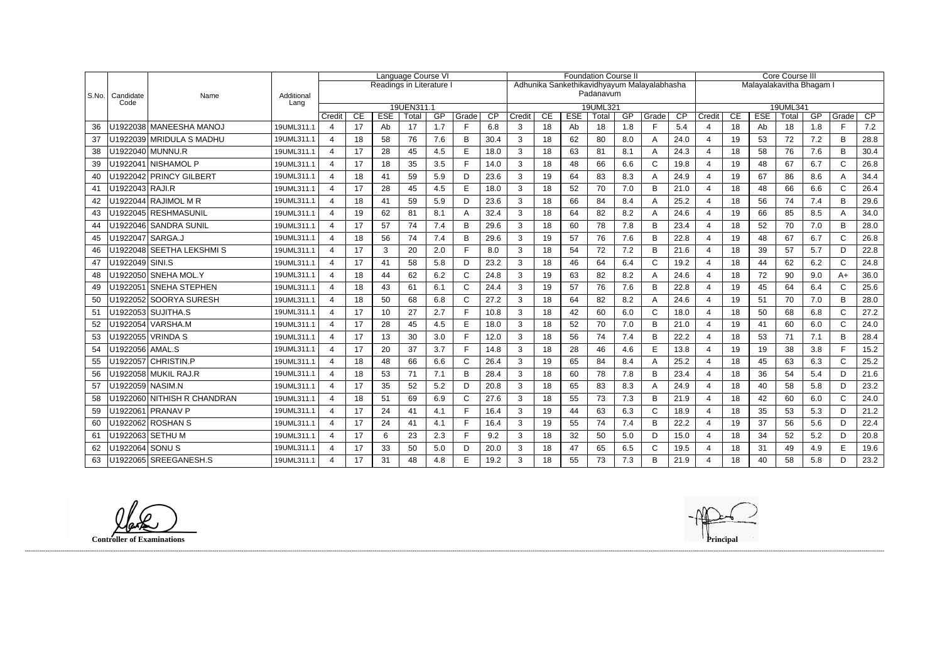|       |                    |                             |                    | Language Course VI    |    |            |                        |     |              | <b>Foundation Course II</b><br>Adhunika Sankethikavidhyayum Malayalabhasha |        |    |            |                   |     |                | Core Course III |                        |    |            |                   |     |              |      |
|-------|--------------------|-----------------------------|--------------------|-----------------------|----|------------|------------------------|-----|--------------|----------------------------------------------------------------------------|--------|----|------------|-------------------|-----|----------------|-----------------|------------------------|----|------------|-------------------|-----|--------------|------|
|       |                    |                             |                    |                       |    |            | Readings in Literature |     |              |                                                                            |        |    |            |                   |     |                |                 | Malayalakavitha Bhagam |    |            |                   |     |              |      |
| S.No. | Candidate<br>Code  | Name                        | Additional<br>Lang |                       |    |            |                        |     |              |                                                                            |        |    |            | Padanavum         |     |                |                 |                        |    |            |                   |     |              |      |
|       |                    |                             |                    | Credit                | CE | <b>ESE</b> | 19UEN311.1<br>Total    | GP  | Grade        | $\overline{CP}$                                                            | Credit | CE | <b>ESE</b> | 19UML321<br>Total | GP  | Grade          | CP              | Credit                 | CE | <b>ESE</b> | 19UML341<br>Total | GP  | Grade        | CP   |
| 36    |                    | U1922038 MANEESHA MANOJ     | 19UML311.1         | $\overline{4}$        | 17 | Ab         | 17                     | 1.7 | F            | 6.8                                                                        | 3      | 18 | Ab         | 18                | 1.8 | F              | 5.4             | $\overline{4}$         | 18 | Ab         | 18                | 1.8 | F            | 7.2  |
| 37    |                    | U1922039 MRIDULA S MADHU    | 19UML311.1         | 4                     | 18 | 58         | 76                     | 7.6 | B            | 30.4                                                                       | 3      | 18 | 62         | 80                | 8.0 | A              | 24.0            | $\overline{4}$         | 19 | 53         | 72                | 7.2 | B            | 28.8 |
| 38    |                    | U1922040 MUNNU.R            | 19UML311.1         | 4                     | 17 | 28         | 45                     | 4.5 | E            | 18.0                                                                       | 3      | 18 | 63         | 81                | 8.1 | A              | 24.3            | 4                      | 18 | 58         | 76                | 7.6 | B            | 30.4 |
| 39    |                    | U1922041│NISHAMOL P         | 19UML311.1         | $\overline{4}$        | 17 | 18         | 35                     | 3.5 | F            | 14.0                                                                       | 3      | 18 | 48         | 66                | 6.6 | $\mathsf{C}$   | 19.8            | $\overline{4}$         | 19 | 48         | 67                | 6.7 | $\mathsf{C}$ | 26.8 |
| 40    |                    | U1922042 PRINCY GILBERT     | 19UML311.1         | 4                     | 18 | 41         | 59                     | 5.9 | D            | 23.6                                                                       | 3      | 19 | 64         | 83                | 8.3 | A              | 24.9            | $\overline{4}$         | 19 | 67         | 86                | 8.6 | Α            | 34.4 |
| 41    | U1922043 RAJI.R    |                             | 19UML311.1         | 4                     | 17 | 28         | 45                     | 4.5 | E            | 18.0                                                                       | 3      | 18 | 52         | 70                | 7.0 | B              | 21.0            | $\overline{4}$         | 18 | 48         | 66                | 6.6 | $\mathsf C$  | 26.4 |
| 42    |                    | U1922044 RAJIMOL M R        | 19UML311.1         | 4                     | 18 | 41         | 59                     | 5.9 | D            | 23.6                                                                       | 3      | 18 | 66         | 84                | 8.4 | A              | 25.2            | $\overline{4}$         | 18 | 56         | 74                | 7.4 | B            | 29.6 |
| 43    |                    | U1922045 RESHMASUNIL        | 19UML311.1         | $\overline{4}$        | 19 | 62         | 81                     | 8.1 | А            | 32.4                                                                       | 3      | 18 | 64         | 82                | 8.2 | A              | 24.6            | $\overline{4}$         | 19 | 66         | 85                | 8.5 | A            | 34.0 |
| 44    |                    | U1922046 SANDRA SUNIL       | 19UML311.1         | 4                     | 17 | 57         | 74                     | 7.4 | B            | 29.6                                                                       | 3      | 18 | 60         | 78                | 7.8 | B              | 23.4            | $\overline{4}$         | 18 | 52         | 70                | 7.0 | B            | 28.0 |
| 45    |                    | U1922047   SARGA.J          | 19UML311.1         | 4                     | 18 | 56         | 74                     | 7.4 | B            | 29.6                                                                       | 3      | 19 | 57         | 76                | 7.6 | B              | 22.8            | $\overline{4}$         | 19 | 48         | 67                | 6.7 | $\mathsf{C}$ | 26.8 |
| 46    |                    | U1922048   SEETHA LEKSHMI S | 19UML311.1         | 4                     | 17 | 3          | 20                     | 2.0 | F            | 8.0                                                                        | 3      | 18 | 54         | 72                | 7.2 | B              | 21.6            | $\overline{4}$         | 18 | 39         | 57                | 5.7 | D            | 22.8 |
| 47    | U1922049 SINI.S    |                             | 19UML311.1         | 4                     | 17 | 41         | 58                     | 5.8 | D            | 23.2                                                                       | 3      | 18 | 46         | 64                | 6.4 | $\mathsf{C}$   | 19.2            | $\overline{4}$         | 18 | 44         | 62                | 6.2 | $\mathsf{C}$ | 24.8 |
| 48    |                    | U1922050 SNEHA MOL.Y        | 19UML311.1         | 4                     | 18 | 44         | 62                     | 6.2 | $\mathsf{C}$ | 24.8                                                                       | 3      | 19 | 63         | 82                | 8.2 | A              | 24.6            | $\overline{4}$         | 18 | 72         | 90                | 9.0 | $A+$         | 36.0 |
| 49    | U1922051           | <b>SNEHA STEPHEN</b>        | 19UML311.1         | $\overline{4}$        | 18 | 43         | 61                     | 6.1 | $\mathsf{C}$ | 24.4                                                                       | 3      | 19 | 57         | 76                | 7.6 | B              | 22.8            | $\overline{4}$         | 19 | 45         | 64                | 6.4 | $\mathsf{C}$ | 25.6 |
| 50    |                    | U1922052 SOORYA SURESH      | 19UML311.1         | 4                     | 18 | 50         | 68                     | 6.8 | $\mathsf{C}$ | 27.2                                                                       | 3      | 18 | 64         | 82                | 8.2 | A              | 24.6            | $\overline{4}$         | 19 | 51         | 70                | 7.0 | B            | 28.0 |
| 51    |                    | U1922053 SUJITHA.S          | 19UML311.1         | 4                     | 17 | 10         | 27                     | 2.7 | F            | 10.8                                                                       | 3      | 18 | 42         | 60                | 6.0 | $\mathsf{C}$   | 18.0            | $\overline{4}$         | 18 | 50         | 68                | 6.8 | $\mathsf{C}$ | 27.2 |
| 52    |                    | U1922054   VARSHA.M         | 19UML311.1         | 4                     | 17 | 28         | 45                     | 4.5 | E            | 18.0                                                                       | 3      | 18 | 52         | 70                | 7.0 | B              | 21.0            | $\overline{4}$         | 19 | 41         | 60                | 6.0 | $\mathsf C$  | 24.0 |
| 53    |                    | U1922055   VRINDA S         | 19UML311.1         | 4                     | 17 | 13         | 30                     | 3.0 | F            | 12.0                                                                       | 3      | 18 | 56         | 74                | 7.4 | B              | 22.2            | $\overline{4}$         | 18 | 53         | 71                | 7.1 | B            | 28.4 |
| 54    | U1922056 AMAL.S    |                             | 19UML311.1         | 4                     | 17 | 20         | 37                     | 3.7 | F            | 14.8                                                                       | 3      | 18 | 28         | 46                | 4.6 | $\mathsf E$    | 13.8            | $\overline{4}$         | 19 | 19         | 38                | 3.8 | F.           | 15.2 |
| 55    |                    | U1922057 CHRISTIN.P         | 19UML311.1         | 4                     | 18 | 48         | 66                     | 6.6 | $\mathsf{C}$ | 26.4                                                                       | 3      | 19 | 65         | 84                | 8.4 | A              | 25.2            | $\overline{4}$         | 18 | 45         | 63                | 6.3 | $\mathsf{C}$ | 25.2 |
| 56    |                    | U1922058 MUKIL RAJ.R        | 19UML311.1         | 4                     | 18 | 53         | 71                     | 7.1 | B            | 28.4                                                                       | 3      | 18 | 60         | 78                | 7.8 | B              | 23.4            | $\overline{4}$         | 18 | 36         | 54                | 5.4 | D            | 21.6 |
| 57    | U1922059   NASIM.N |                             | 19UML311.1         | 4                     | 17 | 35         | 52                     | 5.2 | D            | 20.8                                                                       | 3      | 18 | 65         | 83                | 8.3 | A              | 24.9            | 4                      | 18 | 40         | 58                | 5.8 | D            | 23.2 |
| 58    |                    | U1922060 NITHISH R CHANDRAN | 19UML311.1         | 4                     | 18 | 51         | 69                     | 6.9 | $\mathsf{C}$ | 27.6                                                                       | 3      | 18 | 55         | 73                | 7.3 | B              | 21.9            | $\overline{4}$         | 18 | 42         | 60                | 6.0 | $\mathsf{C}$ | 24.0 |
| 59    |                    |                             | 19UML311.1         | $\overline{4}$        | 17 | 24         | 41                     | 4.1 | E            | 16.4                                                                       | 3      | 19 | 44         | 63                | 6.3 | $\mathsf{C}$   | 18.9            | $\overline{4}$         | 18 | 35         | 53                | 5.3 | D            | 21.2 |
| 60    |                    | U1922062 ROSHAN S           | 19UML311.1         | 4                     | 17 | 24         | 41                     | 4.1 | F            | 16.4                                                                       | 3      | 19 | 55         | 74                | 7.4 | $\overline{B}$ | 22.2            | $\overline{4}$         | 19 | 37         | 56                | 5.6 | D            | 22.4 |
| 61    |                    | U1922063 SETHU M            | 19UML311.1         | $\overline{4}$        | 17 | 6          | 23                     | 2.3 | F            | 9.2                                                                        | 3      | 18 | 32         | 50                | 5.0 | D              | 15.0            | $\overline{4}$         | 18 | 34         | 52                | 5.2 | D            | 20.8 |
| 62    | U1922064           | <b>SONUS</b>                | 19UML311.1         | 4                     | 17 | 33         | 50                     | 5.0 | D            | 20.0                                                                       | 3      | 18 | 47         | 65                | 6.5 | $\mathsf{C}$   | 19.5            | $\boldsymbol{4}$       | 18 | 31         | 49                | 4.9 | E            | 19.6 |
| 63    |                    | U1922065 SREEGANESH.S       | 19UML311.1         | $\boldsymbol{\Delta}$ | 17 | 31         | 48                     | 4.8 | E            | 19.2                                                                       | 3      | 18 | 55         | 73                | 7.3 | B              | 21.9            | $\overline{4}$         | 18 | 40         | 58                | 5.8 | D            | 23.2 |

**Controller of Examinations Principal**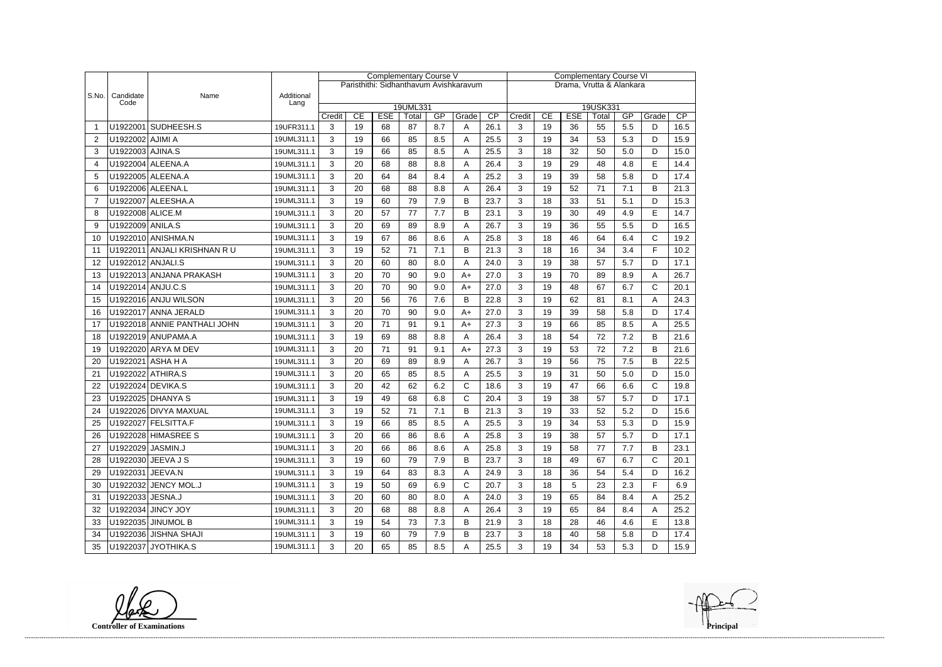|                                  |                                      |                                                                                                                                          |                                                                                                              | <b>Complementary Course V</b>        |                                              |                                              |                                              |                                                      |                                        |                                                              | <b>Complementary Course VI</b>       |                                              |                                             |                                              |                                                      |                                 |                                                             |  |  |
|----------------------------------|--------------------------------------|------------------------------------------------------------------------------------------------------------------------------------------|--------------------------------------------------------------------------------------------------------------|--------------------------------------|----------------------------------------------|----------------------------------------------|----------------------------------------------|------------------------------------------------------|----------------------------------------|--------------------------------------------------------------|--------------------------------------|----------------------------------------------|---------------------------------------------|----------------------------------------------|------------------------------------------------------|---------------------------------|-------------------------------------------------------------|--|--|
|                                  |                                      |                                                                                                                                          |                                                                                                              |                                      |                                              |                                              |                                              |                                                      | Paristhithi: Sidhanthavum Avishkaravum | Drama, Vrutta & Alankara                                     |                                      |                                              |                                             |                                              |                                                      |                                 |                                                             |  |  |
| S.No.                            | Candidate<br>Code                    | Name                                                                                                                                     | Additional<br>Lang                                                                                           |                                      |                                              |                                              |                                              |                                                      |                                        |                                                              |                                      |                                              |                                             |                                              |                                                      |                                 |                                                             |  |  |
|                                  |                                      |                                                                                                                                          |                                                                                                              |                                      |                                              |                                              | 19UML331                                     |                                                      |                                        |                                                              |                                      | 19USK331<br>CP                               |                                             |                                              |                                                      |                                 |                                                             |  |  |
|                                  |                                      | U1922001 SUDHEESH.S                                                                                                                      | 19UFR311.1                                                                                                   | Credit<br>3                          | CE<br>19                                     | <b>ESE</b><br>68                             | Total<br>87                                  | GP<br>8.7                                            | Grade<br>A                             | CP<br>26.1                                                   | Credit<br>3                          | CE<br>19                                     | <b>ESE</b><br>36                            | Total<br>55                                  | GP<br>5.5                                            | Grade<br>D                      | 16.5                                                        |  |  |
| 2                                | U1922002 AJIMI A                     |                                                                                                                                          | 19UML311.1                                                                                                   | 3                                    | 19                                           | 66                                           | 85                                           | 8.5                                                  | A                                      | 25.5                                                         | 3                                    | 19                                           | 34                                          | 53                                           | 5.3                                                  | D                               | 15.9                                                        |  |  |
| 3                                | U1922003 AJINA.S                     |                                                                                                                                          | 19UML311.1                                                                                                   | 3                                    | 19                                           | 66                                           | 85                                           | 8.5                                                  | A                                      | 25.5                                                         | 3                                    | 18                                           | 32                                          | 50                                           | 5.0                                                  | D                               | 15.0                                                        |  |  |
| 4                                |                                      | U1922004 ALEENA.A                                                                                                                        | 19UML311.1                                                                                                   | 3                                    | 20                                           | 68                                           | 88                                           | 8.8                                                  | Α                                      | 26.4                                                         | 3                                    | 19                                           | 29                                          | 48                                           | 4.8                                                  | E                               | 14.4                                                        |  |  |
|                                  |                                      | U1922005 ALEENA.A                                                                                                                        | 19UML311.1                                                                                                   |                                      | 20                                           | 64                                           | 84                                           | 8.4                                                  |                                        | 25.2                                                         | 3                                    | 19                                           | 39                                          | 58                                           | 5.8                                                  |                                 | 17.4                                                        |  |  |
| 5                                |                                      |                                                                                                                                          |                                                                                                              | 3                                    |                                              |                                              |                                              |                                                      | A                                      |                                                              |                                      |                                              |                                             |                                              |                                                      | D                               |                                                             |  |  |
| 6                                |                                      | U1922006 ALEENA.L                                                                                                                        | 19UML311.1                                                                                                   | 3                                    | 20                                           | 68                                           | 88                                           | 8.8                                                  | A                                      | 26.4                                                         | 3                                    | 19                                           | 52                                          | 71                                           | 7.1                                                  | B                               | 21.3                                                        |  |  |
| 7                                |                                      | U1922007 ALEESHA.A                                                                                                                       | 19UML311.1                                                                                                   | 3                                    | 19                                           | 60                                           | 79                                           | 7.9                                                  | B                                      | 23.7                                                         | 3                                    | 18                                           | 33                                          | 51                                           | 5.1                                                  | D                               | 15.3                                                        |  |  |
| 8                                | U1922008 ALICE.M                     |                                                                                                                                          | 19UML311.1                                                                                                   | 3                                    | 20                                           | 57                                           | 77                                           | 7.7                                                  | B                                      | 23.1                                                         | 3                                    | 19                                           | 30                                          | 49                                           | 4.9                                                  | E                               | 14.7                                                        |  |  |
| 9                                | U1922009 ANILA.S                     |                                                                                                                                          | 19UML311.1                                                                                                   | 3                                    | 20                                           | 69                                           | 89                                           | 8.9                                                  | A                                      | 26.7                                                         | 3                                    | 19                                           | 36                                          | 55                                           | 5.5                                                  | D                               | 16.5                                                        |  |  |
| 10                               |                                      | U1922010 ANISHMA.N                                                                                                                       | 19UML311.1                                                                                                   | 3                                    | 19                                           | 67                                           | 86                                           | 8.6                                                  | A                                      | 25.8                                                         | 3                                    | 18                                           | 46                                          | 64                                           | 6.4                                                  | C                               | 19.2                                                        |  |  |
| 11                               |                                      | U1922011 ANJALI KRISHNAN RU                                                                                                              | 19UML311.1                                                                                                   | 3                                    | 19                                           | 52                                           | 71                                           | 7.1                                                  | B                                      | 21.3                                                         | 3                                    | 18                                           | 16                                          | 34                                           | 3.4                                                  | F                               | 10.2                                                        |  |  |
| 12                               | U1922012 ANJALI.S                    |                                                                                                                                          | 19UML311.1                                                                                                   | 3                                    | 20                                           | 60                                           | 80                                           | 8.0                                                  | A                                      | 24.0                                                         | 3                                    | 19                                           | 38                                          | 57                                           | 5.7                                                  | D                               | 17.1                                                        |  |  |
| 13                               |                                      | U1922013 ANJANA PRAKASH                                                                                                                  | 19UML311.1                                                                                                   | 3                                    | 20                                           | 70                                           | 90                                           | 9.0                                                  | $A+$                                   | 27.0                                                         | 3                                    | 19                                           | 70                                          | 89                                           | 8.9                                                  | Α                               | 26.7                                                        |  |  |
| 14                               |                                      | U1922014 ANJU.C.S                                                                                                                        | 19UML311.1                                                                                                   | 3                                    | 20                                           | 70                                           | 90                                           | 9.0                                                  | $A+$                                   | 27.0                                                         | 3                                    | 19                                           | 48                                          | 67                                           | 6.7                                                  | $\mathsf{C}$                    | 20.1                                                        |  |  |
| 15                               |                                      | U1922016 ANJU WILSON                                                                                                                     | 19UML311.1                                                                                                   | 3                                    | 20                                           | 56                                           | 76                                           | 7.6                                                  | B                                      | 22.8                                                         | 3                                    | 19                                           | 62                                          | 81                                           | 8.1                                                  | A                               | 24.3                                                        |  |  |
| 16                               |                                      | U1922017 ANNA JERALD                                                                                                                     | 19UML311.1                                                                                                   | 3                                    | 20                                           | 70                                           | 90                                           | 9.0                                                  | $A+$                                   | 27.0                                                         | 3                                    | 19                                           | 39                                          | 58                                           | 5.8                                                  | D                               | 17.4                                                        |  |  |
| 17                               |                                      | U1922018 ANNIE PANTHALI JOHN                                                                                                             | 19UML311.1                                                                                                   | 3                                    | 20                                           | 71                                           | 91                                           | 9.1                                                  | $A+$                                   | 27.3                                                         | 3                                    | 19                                           | 66                                          | 85                                           | 8.5                                                  | A                               | 25.5                                                        |  |  |
| 18                               |                                      | U1922019 ANUPAMA.A                                                                                                                       | 19UML311.1                                                                                                   | 3                                    | 19                                           | 69                                           | 88                                           | 8.8                                                  | A                                      | 26.4                                                         | 3                                    | 18                                           | 54                                          | 72                                           | 7.2                                                  | B                               | 21.6                                                        |  |  |
| 19                               |                                      | U1922020 ARYA M DEV                                                                                                                      | 19UML311.1                                                                                                   | 3                                    | 20                                           | 71                                           | 91                                           | 9.1                                                  | $A+$                                   | 27.3                                                         | 3                                    | 19                                           | 53                                          | 72                                           | 7.2                                                  | B                               | 21.6                                                        |  |  |
| 20                               |                                      | U1922021 ASHA H A                                                                                                                        | 19UML311.1                                                                                                   | 3                                    | 20                                           | 69                                           | 89                                           | 8.9                                                  | A                                      | 26.7                                                         | 3                                    | 19                                           | 56                                          | 75                                           | 7.5                                                  | B                               | 22.5                                                        |  |  |
| 21                               |                                      | U1922022 ATHIRA.S                                                                                                                        | 19UML311.1                                                                                                   | 3                                    | 20                                           | 65                                           | 85                                           | 8.5                                                  | A                                      | 25.5                                                         | 3                                    | 19                                           | 31                                          | 50                                           | 5.0                                                  | D                               | 15.0                                                        |  |  |
| 22                               |                                      | U1922024 DEVIKA.S                                                                                                                        | 19UML311.1                                                                                                   | 3                                    | 20                                           | 42                                           | 62                                           | 6.2                                                  | $\mathsf{C}$                           | 18.6                                                         | 3                                    | 19                                           | 47                                          | 66                                           | 6.6                                                  | $\mathsf{C}$                    | 19.8                                                        |  |  |
| 23                               |                                      | U1922025 DHANYA S                                                                                                                        | 19UML311.1                                                                                                   | 3                                    | 19                                           | 49                                           | 68                                           | 6.8                                                  | $\mathsf{C}$                           | 20.4                                                         | 3                                    | 19                                           | 38                                          | 57                                           | 5.7                                                  | D                               | 17.1                                                        |  |  |
| 24                               |                                      | U1922026 DIVYA MAXUAL                                                                                                                    | 19UML311.1                                                                                                   | 3                                    | 19                                           | 52                                           | 71                                           | 7.1                                                  | B                                      | 21.3                                                         | 3                                    | 19                                           | 33                                          | 52                                           | 5.2                                                  | D                               | 15.6                                                        |  |  |
| 25                               |                                      | U1922027 FELSITTA.F                                                                                                                      | 19UML311.1                                                                                                   | 3                                    | 19                                           | 66                                           | 85                                           | 8.5                                                  | А                                      | 25.5                                                         | 3                                    | 19                                           | 34                                          | 53                                           | 5.3                                                  | D                               | 15.9                                                        |  |  |
| 26                               |                                      | U1922028 HIMASREE S                                                                                                                      | 19UML311.1                                                                                                   | 3                                    | 20                                           | 66                                           | 86                                           | 8.6                                                  | A                                      | 25.8                                                         | 3                                    | 19                                           | 38                                          | 57                                           | 5.7                                                  | D                               | 17.1                                                        |  |  |
| 27                               | U1922029 JASMIN.J                    |                                                                                                                                          | 19UML311.1                                                                                                   | 3                                    | 20                                           | 66                                           | 86                                           | 8.6                                                  | A                                      | 25.8                                                         | 3                                    | 19                                           | 58                                          | 77                                           | 7.7                                                  | B                               | 23.1                                                        |  |  |
| 28                               |                                      |                                                                                                                                          |                                                                                                              |                                      |                                              |                                              |                                              |                                                      |                                        |                                                              |                                      |                                              |                                             |                                              |                                                      |                                 |                                                             |  |  |
|                                  |                                      |                                                                                                                                          |                                                                                                              |                                      |                                              |                                              |                                              |                                                      |                                        |                                                              |                                      |                                              |                                             |                                              |                                                      | D                               |                                                             |  |  |
| 30                               |                                      |                                                                                                                                          |                                                                                                              |                                      |                                              |                                              |                                              |                                                      |                                        |                                                              |                                      |                                              |                                             |                                              |                                                      |                                 |                                                             |  |  |
|                                  |                                      |                                                                                                                                          |                                                                                                              |                                      |                                              |                                              |                                              |                                                      |                                        |                                                              |                                      |                                              |                                             |                                              |                                                      |                                 |                                                             |  |  |
|                                  |                                      |                                                                                                                                          |                                                                                                              |                                      |                                              |                                              |                                              |                                                      |                                        |                                                              |                                      |                                              |                                             |                                              |                                                      |                                 |                                                             |  |  |
|                                  |                                      |                                                                                                                                          |                                                                                                              |                                      |                                              |                                              |                                              |                                                      |                                        |                                                              |                                      |                                              |                                             |                                              |                                                      |                                 |                                                             |  |  |
|                                  |                                      |                                                                                                                                          |                                                                                                              |                                      |                                              |                                              |                                              |                                                      |                                        |                                                              |                                      |                                              |                                             |                                              |                                                      |                                 |                                                             |  |  |
|                                  |                                      |                                                                                                                                          |                                                                                                              |                                      |                                              |                                              |                                              |                                                      |                                        |                                                              |                                      |                                              |                                             |                                              |                                                      |                                 |                                                             |  |  |
| 29<br>31<br>32<br>33<br>34<br>35 | U1922031 JEEVA.N<br>U1922033 JESNA.J | U1922030   JEEVA J S<br>U1922032 JENCY MOL.J<br>U1922034 JINCY JOY<br>U1922035 JINUMOL B<br>U1922036 JISHNA SHAJI<br>U1922037 JYOTHIKA.S | 19UML311.1<br>19UML311.1<br>19UML311.1<br>19UML311.1<br>19UML311.1<br>19UML311.1<br>19UML311.1<br>19UML311.1 | 3<br>3<br>3<br>3<br>3<br>3<br>3<br>3 | 19<br>19<br>19<br>20<br>20<br>19<br>19<br>20 | 60<br>64<br>50<br>60<br>68<br>54<br>60<br>65 | 79<br>83<br>69<br>80<br>88<br>73<br>79<br>85 | 7.9<br>8.3<br>6.9<br>8.0<br>8.8<br>7.3<br>7.9<br>8.5 | B<br>A<br>C<br>A<br>A<br>B<br>B<br>A   | 23.7<br>24.9<br>20.7<br>24.0<br>26.4<br>21.9<br>23.7<br>25.5 | 3<br>3<br>3<br>3<br>3<br>3<br>3<br>3 | 18<br>18<br>18<br>19<br>19<br>18<br>18<br>19 | 49<br>36<br>5<br>65<br>65<br>28<br>40<br>34 | 67<br>54<br>23<br>84<br>84<br>46<br>58<br>53 | 6.7<br>5.4<br>2.3<br>8.4<br>8.4<br>4.6<br>5.8<br>5.3 | С<br>F<br>A<br>A<br>Е<br>D<br>D | 20.1<br>16.2<br>6.9<br>25.2<br>25.2<br>13.8<br>17.4<br>15.9 |  |  |

**Controller of Examinations**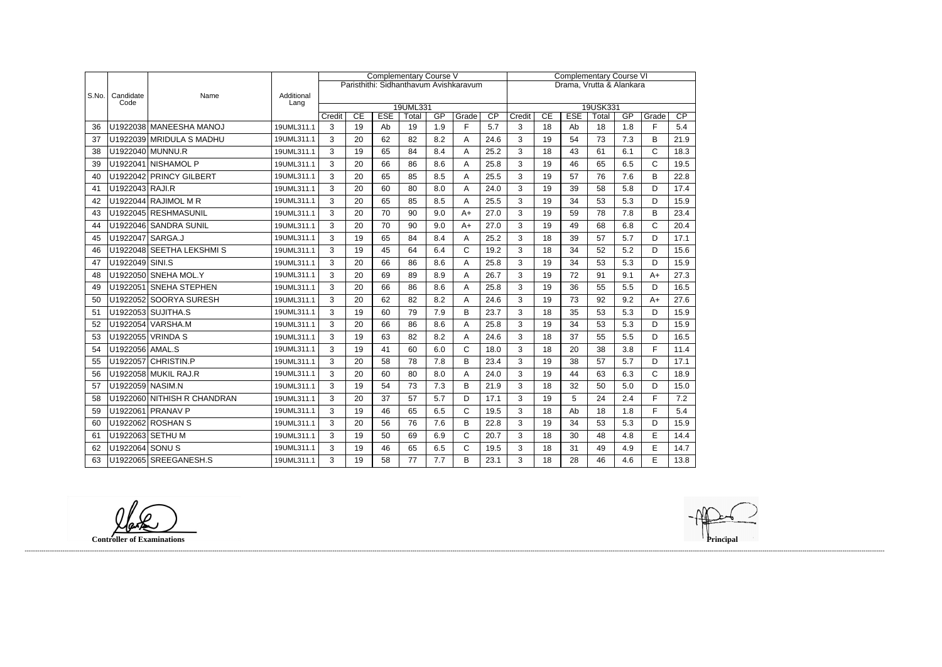|       |                  |                             |            |        |    | <b>Complementary Course V</b> |          |     |                                        |                 | <b>Complementary Course VI</b> |    |            |          |     |              |      |  |
|-------|------------------|-----------------------------|------------|--------|----|-------------------------------|----------|-----|----------------------------------------|-----------------|--------------------------------|----|------------|----------|-----|--------------|------|--|
|       |                  |                             |            |        |    |                               |          |     | Paristhithi: Sidhanthavum Avishkaravum |                 | Drama, Vrutta & Alankara       |    |            |          |     |              |      |  |
| S.No. | Candidate        | Name                        | Additional |        |    |                               |          |     |                                        |                 |                                |    |            |          |     |              |      |  |
|       | Code             |                             | Lang       |        |    |                               | 19UML331 |     |                                        |                 |                                |    |            | 19USK331 |     |              |      |  |
|       |                  |                             |            | Credit | CE | <b>ESE</b>                    | Total    | GP  | Grade                                  | $\overline{CP}$ | Credit                         | CE | <b>ESE</b> | Total    | GP  | Grade        | CP   |  |
| 36    |                  | U1922038 MANEESHA MANOJ     | 19UML311.1 | 3      | 19 | Ab                            | 19       | 1.9 | F                                      | 5.7             | 3                              | 18 | Ab         | 18       | 1.8 | $\mathsf{F}$ | 5.4  |  |
| 37    |                  | U1922039 MRIDULA S MADHU    | 19UML311.1 | 3      | 20 | 62                            | 82       | 8.2 | Α                                      | 24.6            | 3                              | 19 | 54         | 73       | 7.3 | B            | 21.9 |  |
| 38    |                  | U1922040 MUNNU.R            | 19UML311.1 | 3      | 19 | 65                            | 84       | 8.4 | A                                      | 25.2            | 3                              | 18 | 43         | 61       | 6.1 | $\mathsf{C}$ | 18.3 |  |
| 39    |                  | U1922041 NISHAMOL P         | 19UML311.1 | 3      | 20 | 66                            | 86       | 8.6 | A                                      | 25.8            | $\mathfrak{S}$                 | 19 | 46         | 65       | 6.5 | $\mathsf{C}$ | 19.5 |  |
| 40    |                  | U1922042 PRINCY GILBERT     | 19UML311.1 | 3      | 20 | 65                            | 85       | 8.5 | Α                                      | 25.5            | 3                              | 19 | 57         | 76       | 7.6 | B            | 22.8 |  |
| 41    | U1922043 RAJI.R  |                             | 19UML311.1 | 3      | 20 | 60                            | 80       | 8.0 | A                                      | 24.0            | 3                              | 19 | 39         | 58       | 5.8 | D            | 17.4 |  |
| 42    |                  | U1922044 RAJIMOL M R        | 19UML311.1 | 3      | 20 | 65                            | 85       | 8.5 | A                                      | 25.5            | 3                              | 19 | 34         | 53       | 5.3 | D            | 15.9 |  |
| 43    |                  | U1922045 RESHMASUNIL        | 19UML311.1 | 3      | 20 | 70                            | 90       | 9.0 | $A+$                                   | 27.0            | 3                              | 19 | 59         | 78       | 7.8 | B            | 23.4 |  |
| 44    |                  | U1922046 SANDRA SUNIL       | 19UML311.1 | 3      | 20 | 70                            | 90       | 9.0 | $A+$                                   | 27.0            | 3                              | 19 | 49         | 68       | 6.8 | $\mathsf{C}$ | 20.4 |  |
| 45    | U1922047 SARGA.J |                             | 19UML311.1 | 3      | 19 | 65                            | 84       | 8.4 | Α                                      | 25.2            | 3                              | 18 | 39         | 57       | 5.7 | D            | 17.1 |  |
| 46    |                  | U1922048 SEETHA LEKSHMIS    | 19UML311.1 | 3      | 19 | 45                            | 64       | 6.4 | C                                      | 19.2            | 3                              | 18 | 34         | 52       | 5.2 | D            | 15.6 |  |
| 47    | U1922049 SINI.S  |                             | 19UML311.1 | 3      | 20 | 66                            | 86       | 8.6 | A                                      | 25.8            | 3                              | 19 | 34         | 53       | 5.3 | D            | 15.9 |  |
| 48    |                  | U1922050 SNEHA MOL.Y        | 19UML311.1 | 3      | 20 | 69                            | 89       | 8.9 | Α                                      | 26.7            | 3                              | 19 | 72         | 91       | 9.1 | $A+$         | 27.3 |  |
| 49    |                  | U1922051 SNEHA STEPHEN      | 19UML311.1 | 3      | 20 | 66                            | 86       | 8.6 | A                                      | 25.8            | 3                              | 19 | 36         | 55       | 5.5 | D            | 16.5 |  |
| 50    |                  | U1922052 SOORYA SURESH      | 19UML311.1 | 3      | 20 | 62                            | 82       | 8.2 | Α                                      | 24.6            | 3                              | 19 | 73         | 92       | 9.2 | $A+$         | 27.6 |  |
| 51    |                  | U1922053 SUJITHA.S          | 19UML311.1 | 3      | 19 | 60                            | 79       | 7.9 | B                                      | 23.7            | 3                              | 18 | 35         | 53       | 5.3 | D            | 15.9 |  |
| 52    |                  | U1922054 VARSHA.M           | 19UML311.1 | 3      | 20 | 66                            | 86       | 8.6 | A                                      | 25.8            | 3                              | 19 | 34         | 53       | 5.3 | D            | 15.9 |  |
| 53    |                  | U1922055 VRINDA S           | 19UML311.1 | 3      | 19 | 63                            | 82       | 8.2 | A                                      | 24.6            | 3                              | 18 | 37         | 55       | 5.5 | D            | 16.5 |  |
| 54    | U1922056 AMAL.S  |                             | 19UML311.1 | 3      | 19 | 41                            | 60       | 6.0 | C                                      | 18.0            | 3                              | 18 | 20         | 38       | 3.8 | F            | 11.4 |  |
| 55    |                  | U1922057 CHRISTIN.P         | 19UML311.1 | 3      | 20 | 58                            | 78       | 7.8 | B                                      | 23.4            | 3                              | 19 | 38         | 57       | 5.7 | D            | 17.1 |  |
| 56    |                  | U1922058 MUKIL RAJ.R        | 19UML311.1 | 3      | 20 | 60                            | 80       | 8.0 | A                                      | 24.0            | 3                              | 19 | 44         | 63       | 6.3 | $\mathsf{C}$ | 18.9 |  |
| 57    | U1922059 NASIM.N |                             | 19UML311.1 | 3      | 19 | 54                            | 73       | 7.3 | В                                      | 21.9            | 3                              | 18 | 32         | 50       | 5.0 | D            | 15.0 |  |
| 58    |                  | U1922060 NITHISH R CHANDRAN | 19UML311.1 | 3      | 20 | 37                            | 57       | 5.7 | D                                      | 17.1            | 3                              | 19 | 5          | 24       | 2.4 | F.           | 7.2  |  |
| 59    |                  | U1922061 PRANAV P           | 19UML311.1 | 3      | 19 | 46                            | 65       | 6.5 | $\mathsf{C}$                           | 19.5            | 3                              | 18 | Ab         | 18       | 1.8 | F            | 5.4  |  |
| 60    |                  | U1922062 ROSHAN S           | 19UML311.1 | 3      | 20 | 56                            | 76       | 7.6 | B                                      | 22.8            | 3                              | 19 | 34         | 53       | 5.3 | D            | 15.9 |  |
| 61    |                  | U1922063 SETHU M            | 19UML311.1 | 3      | 19 | 50                            | 69       | 6.9 | C                                      | 20.7            | 3                              | 18 | 30         | 48       | 4.8 | E            | 14.4 |  |
| 62    | U1922064 SONU S  |                             | 19UML311.1 | 3      | 19 | 46                            | 65       | 6.5 | $\mathsf{C}$                           | 19.5            | 3                              | 18 | 31         | 49       | 4.9 | E            | 14.7 |  |
| 63    |                  | U1922065 SREEGANESH.S       | 19UML311.1 | 3      | 19 | 58                            | 77       | 7.7 | B                                      | 23.1            | 3                              | 18 | 28         | 46       | 4.6 | E            | 13.8 |  |

**Controller of Examinations**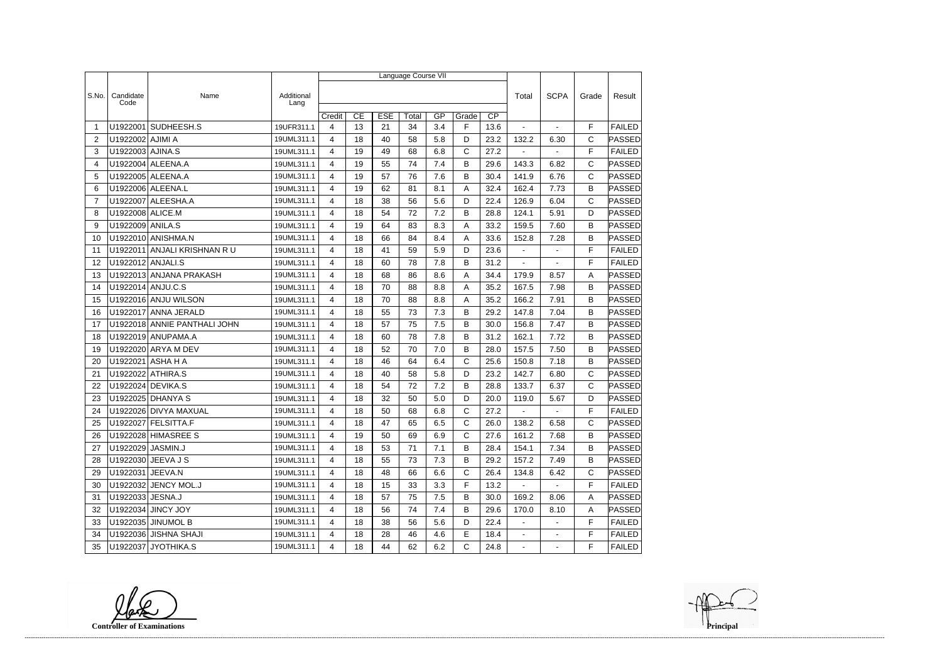|                |                     |                              |                    | Language Course VII |    |            |       |     |              |                 |                |                |              |               |  |
|----------------|---------------------|------------------------------|--------------------|---------------------|----|------------|-------|-----|--------------|-----------------|----------------|----------------|--------------|---------------|--|
|                |                     |                              |                    |                     |    |            |       |     |              |                 |                |                |              |               |  |
| S.No.          | Candidate<br>Code   | Name                         | Additional<br>Lang |                     |    |            |       |     |              |                 | Total          | <b>SCPA</b>    | Grade        | Result        |  |
|                |                     |                              |                    | Credit              | CE | <b>ESE</b> | Total | GP  | Grade        | $\overline{CP}$ |                |                |              |               |  |
| -1             | U1922001            | SUDHEESH.S                   | 19UFR311.1         | $\overline{4}$      | 13 | 21         | 34    | 3.4 | F            | 13.6            |                |                | F            | <b>FAILED</b> |  |
| $\overline{2}$ | U1922002 AJIMI A    |                              | 19UML311.1         | 4                   | 18 | 40         | 58    | 5.8 | D            | 23.2            | 132.2          | 6.30           | C            | <b>PASSED</b> |  |
| 3              | U1922003 AJINA.S    |                              | 19UML311.1         | 4                   | 19 | 49         | 68    | 6.8 | C            | 27.2            | $\blacksquare$ |                | F            | <b>FAILED</b> |  |
| 4              |                     | U1922004 ALEENA.A            | 19UML311.1         | $\overline{4}$      | 19 | 55         | 74    | 7.4 | B            | 29.6            | 143.3          | 6.82           | $\mathsf{C}$ | PASSED        |  |
| 5              |                     | U1922005 ALEENA.A            | 19UML311.1         | 4                   | 19 | 57         | 76    | 7.6 | B            | 30.4            | 141.9          | 6.76           | $\mathsf{C}$ | PASSED        |  |
| 6              |                     | U1922006 ALEENA.L            | 19UML311.1         | 4                   | 19 | 62         | 81    | 8.1 | А            | 32.4            | 162.4          | 7.73           | B            | PASSED        |  |
| $\overline{7}$ |                     | U1922007 ALEESHA.A           | 19UML311.1         | 4                   | 18 | 38         | 56    | 5.6 | D            | 22.4            | 126.9          | 6.04           | $\mathsf{C}$ | PASSED        |  |
| 8              | U1922008 ALICE.M    |                              | 19UML311.1         | 4                   | 18 | 54         | 72    | 7.2 | В            | 28.8            | 124.1          | 5.91           | D            | <b>PASSED</b> |  |
| 9              | U1922009 ANILA.S    |                              | 19UML311.1         | 4                   | 19 | 64         | 83    | 8.3 | Α            | 33.2            | 159.5          | 7.60           | B            | PASSED        |  |
| 10             |                     | U1922010 ANISHMA.N           | 19UML311.1         | 4                   | 18 | 66         | 84    | 8.4 | Α            | 33.6            | 152.8          | 7.28           | B            | <b>PASSED</b> |  |
| 11             |                     | U1922011 ANJALI KRISHNAN RU  | 19UML311.1         | 4                   | 18 | 41         | 59    | 5.9 | D            | 23.6            |                |                | F            | <b>FAILED</b> |  |
| 12             | U1922012 ANJALI.S   |                              | 19UML311.1         | 4                   | 18 | 60         | 78    | 7.8 | B            | 31.2            | $\blacksquare$ | $\overline{a}$ | F            | <b>FAILED</b> |  |
| 13             |                     | U1922013 ANJANA PRAKASH      | 19UML311.1         | 4                   | 18 | 68         | 86    | 8.6 | Α            | 34.4            | 179.9          | 8.57           | A            | <b>PASSED</b> |  |
| 14             | U1922014 ANJU.C.S   |                              | 19UML311.1         | $\overline{4}$      | 18 | 70         | 88    | 8.8 | Α            | 35.2            | 167.5          | 7.98           | $\mathsf B$  | PASSED        |  |
| 15             |                     | U1922016 ANJU WILSON         | 19UML311.1         | 4                   | 18 | 70         | 88    | 8.8 | Α            | 35.2            | 166.2          | 7.91           | B            | PASSED        |  |
| 16             |                     | U1922017 ANNA JERALD         | 19UML311.1         | 4                   | 18 | 55         | 73    | 7.3 | B            | 29.2            | 147.8          | 7.04           | B            | PASSED        |  |
| 17             |                     | U1922018 ANNIE PANTHALI JOHN | 19UML311.1         | 4                   | 18 | 57         | 75    | 7.5 | B            | 30.0            | 156.8          | 7.47           | B            | <b>PASSED</b> |  |
| 18             |                     | U1922019 ANUPAMA.A           | 19UML311.1         | 4                   | 18 | 60         | 78    | 7.8 | В            | 31.2            | 162.1          | 7.72           | B            | <b>PASSED</b> |  |
| 19             |                     | U1922020 ARYA M DEV          | 19UML311.1         | 4                   | 18 | 52         | 70    | 7.0 | B            | 28.0            | 157.5          | 7.50           | B            | PASSED        |  |
| 20             | U1922021            | <b>ASHAHA</b>                | 19UML311.1         | 4                   | 18 | 46         | 64    | 6.4 | C            | 25.6            | 150.8          | 7.18           | B            | PASSED        |  |
| 21             |                     | U1922022 ATHIRA.S            | 19UML311.1         | 4                   | 18 | 40         | 58    | 5.8 | D            | 23.2            | 142.7          | 6.80           | C            | PASSED        |  |
| 22             |                     | U1922024 DEVIKA.S            | 19UML311.1         | 4                   | 18 | 54         | 72    | 7.2 | B            | 28.8            | 133.7          | 6.37           | $\mathsf{C}$ | PASSED        |  |
| 23             |                     | U1922025 DHANYA S            | 19UML311.1         | 4                   | 18 | 32         | 50    | 5.0 | D            | 20.0            | 119.0          | 5.67           | D            | PASSED        |  |
| 24             |                     | U1922026 DIVYA MAXUAL        | 19UML311.1         | 4                   | 18 | 50         | 68    | 6.8 | $\mathsf{C}$ | 27.2            |                |                | F            | <b>FAILED</b> |  |
| 25             |                     | U1922027 FELSITTA.F          | 19UML311.1         | 4                   | 18 | 47         | 65    | 6.5 | C            | 26.0            | 138.2          | 6.58           | С            | <b>PASSED</b> |  |
| 26             |                     | U1922028 HIMASREE S          | 19UML311.1         | 4                   | 19 | 50         | 69    | 6.9 | C            | 27.6            | 161.2          | 7.68           | B            | <b>PASSED</b> |  |
| 27             | U1922029   JASMIN.J |                              | 19UML311.1         | 4                   | 18 | 53         | 71    | 7.1 | B            | 28.4            | 154.1          | 7.34           | B            | <b>PASSED</b> |  |
| 28             |                     | U1922030   JEEVA J S         | 19UML311.1         | 4                   | 18 | 55         | 73    | 7.3 | B            | 29.2            | 157.2          | 7.49           | B            | PASSED        |  |
| 29             | U1922031 JEEVA.N    |                              | 19UML311.1         | 4                   | 18 | 48         | 66    | 6.6 | C            | 26.4            | 134.8          | 6.42           | $\mathsf{C}$ | <b>PASSED</b> |  |
| 30             |                     | U1922032 JENCY MOL.J         | 19UML311.1         | 4                   | 18 | 15         | 33    | 3.3 | F            | 13.2            | $\sim$         | $\sim$         | F            | <b>FAILED</b> |  |
| 31             | U1922033 JESNA.J    |                              | 19UML311.1         | 4                   | 18 | 57         | 75    | 7.5 | B            | 30.0            | 169.2          | 8.06           | Α            | PASSED        |  |
| 32             |                     | U1922034 JINCY JOY           | 19UML311.1         | 4                   | 18 | 56         | 74    | 7.4 | B            | 29.6            | 170.0          | 8.10           | A            | PASSED        |  |
| 33             |                     | U1922035 JINUMOL B           | 19UML311.1         | 4                   | 18 | 38         | 56    | 5.6 | D            | 22.4            | $\sim$         | $\sim$         | F            | <b>FAILED</b> |  |
| 34             |                     | U1922036 JISHNA SHAJI        | 19UML311.1         | 4                   | 18 | 28         | 46    | 4.6 | E            | 18.4            | $\sim$         | $\blacksquare$ | F            | <b>FAILED</b> |  |
| 35             |                     | U1922037 JYOTHIKA.S          | 19UML311.1         | 4                   | 18 | 44         | 62    | 6.2 | $\mathsf{C}$ | 24.8            | $\sim$         | $\blacksquare$ | F.           | FAILED        |  |

**Controller of Examinations**